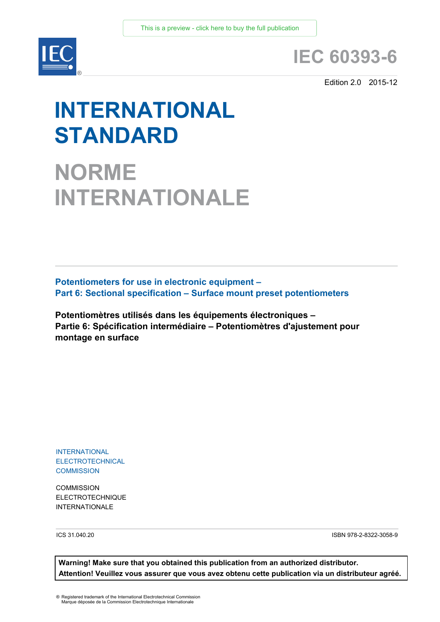

## **IEC 60393-6**

Edition 2.0 2015-12

# **INTERNATIONAL STANDARD**

**NORME INTERNATIONALE**

**Potentiometers for use in electronic equipment – Part 6: Sectional specification – Surface mount preset potentiometers**

**Potentiomètres utilisés dans les équipements électroniques – Partie 6: Spécification intermédiaire – Potentiomètres d'ajustement pour montage en surface**

INTERNATIONAL **ELECTROTECHNICAL COMMISSION** 

**COMMISSION** ELECTROTECHNIQUE INTERNATIONAL F

ICS 31.040.20 ISBN 978-2-8322-3058-9

**Warning! Make sure that you obtained this publication from an authorized distributor. Attention! Veuillez vous assurer que vous avez obtenu cette publication via un distributeur agréé.**

® Registered trademark of the International Electrotechnical Commission Marque déposée de la Commission Electrotechnique Internationale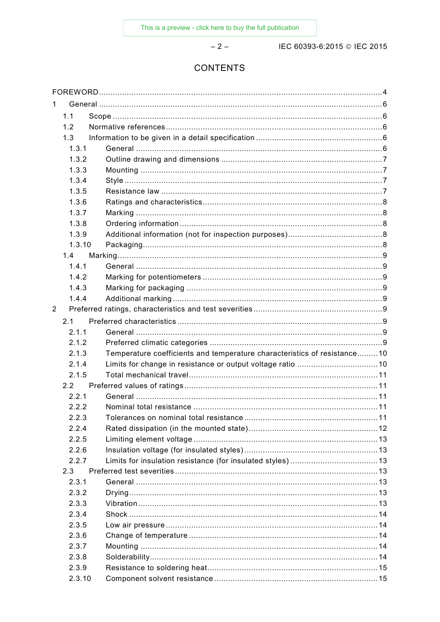$-2-$ 

IEC 60393-6:2015 © IEC 2015

### **CONTENTS**

| 1.             |               |                                                                          |  |
|----------------|---------------|--------------------------------------------------------------------------|--|
|                | 1.1           |                                                                          |  |
|                | 1.2           |                                                                          |  |
|                | 1.3           |                                                                          |  |
|                | 1.3.1         |                                                                          |  |
|                | 1.3.2         |                                                                          |  |
|                | 1.3.3         |                                                                          |  |
|                | 1.3.4         |                                                                          |  |
|                | 1.3.5         |                                                                          |  |
|                | 1.3.6         |                                                                          |  |
|                | 1.3.7         |                                                                          |  |
|                | 1.3.8         |                                                                          |  |
|                | 1.3.9         |                                                                          |  |
|                | 1.3.10        |                                                                          |  |
|                | 1.4           |                                                                          |  |
|                | 1.4.1         |                                                                          |  |
|                | 1.4.2         |                                                                          |  |
|                | 1.4.3         |                                                                          |  |
|                | 1.4.4         |                                                                          |  |
| $\overline{2}$ |               |                                                                          |  |
|                | 2.1           |                                                                          |  |
|                | 2.1.1         |                                                                          |  |
|                |               |                                                                          |  |
|                | 2.1.2         |                                                                          |  |
|                | 2.1.3         |                                                                          |  |
|                | 2.1.4         | Temperature coefficients and temperature characteristics of resistance10 |  |
|                | 2.1.5         |                                                                          |  |
|                | $2.2^{\circ}$ |                                                                          |  |
|                | 2.2.1         |                                                                          |  |
|                | 2.2.2         |                                                                          |  |
|                | 2.2.3         |                                                                          |  |
|                | 2.2.4         |                                                                          |  |
|                | 2.2.5         |                                                                          |  |
|                | 2.2.6         |                                                                          |  |
|                | 2.2.7         |                                                                          |  |
|                | 2.3           |                                                                          |  |
|                | 2.3.1         |                                                                          |  |
|                | 2.3.2         |                                                                          |  |
|                | 2.3.3         |                                                                          |  |
|                | 2.3.4         |                                                                          |  |
|                | 2.3.5         |                                                                          |  |
|                | 2.3.6         |                                                                          |  |
|                | 2.3.7         |                                                                          |  |
|                | 2.3.8         |                                                                          |  |
|                | 2.3.9         |                                                                          |  |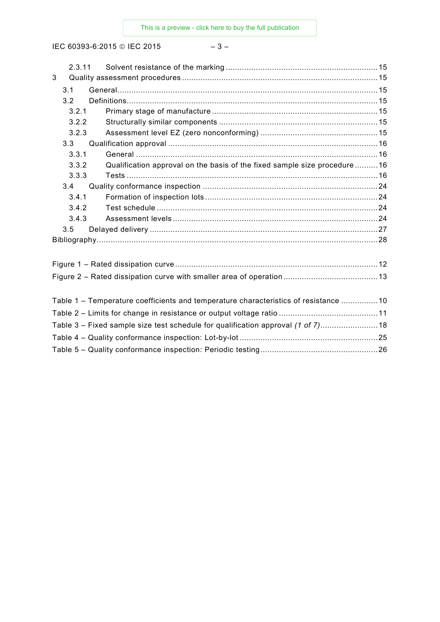IEC 60393-6:2015 © IEC 2015 – 3 –

| 2.3.11 |                                                                                     |  |
|--------|-------------------------------------------------------------------------------------|--|
| 3      |                                                                                     |  |
| 3.1    |                                                                                     |  |
| 3.2    |                                                                                     |  |
| 3.2.1  |                                                                                     |  |
| 3.2.2  |                                                                                     |  |
| 3.2.3  |                                                                                     |  |
| 3.3    |                                                                                     |  |
| 3.3.1  |                                                                                     |  |
| 3.3.2  | Qualification approval on the basis of the fixed sample size procedure 16           |  |
| 3.3.3  |                                                                                     |  |
| 3.4    |                                                                                     |  |
| 3.4.1  |                                                                                     |  |
| 3.4.2  |                                                                                     |  |
| 3.4.3  |                                                                                     |  |
| 3.5    |                                                                                     |  |
|        |                                                                                     |  |
|        |                                                                                     |  |
|        |                                                                                     |  |
|        |                                                                                     |  |
|        |                                                                                     |  |
|        | Table 1 - Temperature coefficients and temperature characteristics of resistance 10 |  |
|        |                                                                                     |  |
|        | Table 3 - Fixed sample size test schedule for qualification approval (1 of 7)18     |  |
|        |                                                                                     |  |
|        |                                                                                     |  |
|        |                                                                                     |  |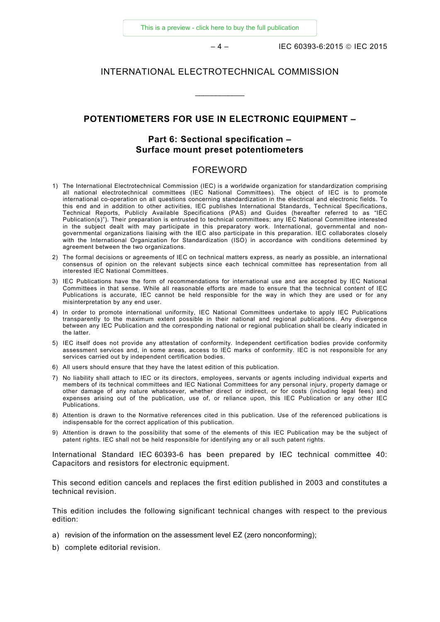[This is a preview - click here to buy the full publication](https://webstore.iec.ch/publication/23932&preview=1)

– 4 – IEC 60393-6:2015 IEC 2015

#### INTERNATIONAL ELECTROTECHNICAL COMMISSION

 $\overline{\phantom{a}}$ 

#### **POTENTIOMETERS FOR USE IN ELECTRONIC EQUIPMENT –**

#### **Part 6: Sectional specification – Surface mount preset potentiometers**

#### FOREWORD

- <span id="page-3-0"></span>1) The International Electrotechnical Commission (IEC) is a worldwide organization for standardization comprising all national electrotechnical committees (IEC National Committees). The object of IEC is to promote international co-operation on all questions concerning standardization in the electrical and electronic fields. To this end and in addition to other activities, IEC publishes International Standards, Technical Specifications, Technical Reports, Publicly Available Specifications (PAS) and Guides (hereafter referred to as "IEC Publication(s)"). Their preparation is entrusted to technical committees; any IEC National Committee interested in the subject dealt with may participate in this preparatory work. International, governmental and nongovernmental organizations liaising with the IEC also participate in this preparation. IEC collaborates closely with the International Organization for Standardization (ISO) in accordance with conditions determined by agreement between the two organizations.
- 2) The formal decisions or agreements of IEC on technical matters express, as nearly as possible, an international consensus of opinion on the relevant subjects since each technical committee has representation from all interested IEC National Committees.
- 3) IEC Publications have the form of recommendations for international use and are accepted by IEC National Committees in that sense. While all reasonable efforts are made to ensure that the technical content of IEC Publications is accurate, IEC cannot be held responsible for the way in which they are used or for any misinterpretation by any end user.
- 4) In order to promote international uniformity, IEC National Committees undertake to apply IEC Publications transparently to the maximum extent possible in their national and regional publications. Any divergence between any IEC Publication and the corresponding national or regional publication shall be clearly indicated in the latter.
- 5) IEC itself does not provide any attestation of conformity. Independent certification bodies provide conformity assessment services and, in some areas, access to IEC marks of conformity. IEC is not responsible for any services carried out by independent certification bodies.
- 6) All users should ensure that they have the latest edition of this publication.
- 7) No liability shall attach to IEC or its directors, employees, servants or agents including individual experts and members of its technical committees and IEC National Committees for any personal injury, property damage or other damage of any nature whatsoever, whether direct or indirect, or for costs (including legal fees) and expenses arising out of the publication, use of, or reliance upon, this IEC Publication or any other IEC Publications.
- 8) Attention is drawn to the Normative references cited in this publication. Use of the referenced publications is indispensable for the correct application of this publication.
- 9) Attention is drawn to the possibility that some of the elements of this IEC Publication may be the subject of patent rights. IEC shall not be held responsible for identifying any or all such patent rights.

International Standard IEC 60393-6 has been prepared by IEC technical committee 40: Capacitors and resistors for electronic equipment.

This second edition cancels and replaces the first edition published in 2003 and constitutes a technical revision.

This edition includes the following significant technical changes with respect to the previous edition:

- a) revision of the information on the assessment level EZ (zero nonconforming);
- b) complete editorial revision.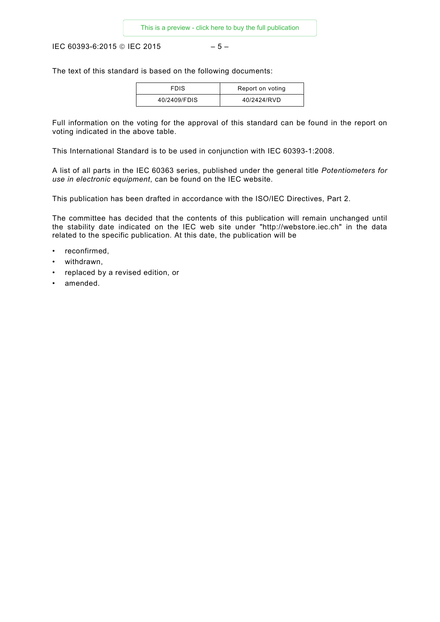IEC 60393-6:2015 © IEC 2015 – 5 –

The text of this standard is based on the following documents:

| <b>FDIS</b>  | Report on voting |
|--------------|------------------|
| 40/2409/FDIS | 40/2424/RVD      |

Full information on the voting for the approval of this standard can be found in the report on voting indicated in the above table.

This International Standard is to be used in conjunction with IEC 60393-1:2008.

A list of all parts in the IEC 60363 series, published under the general title *Potentiometers for use in electronic equipment*, can be found on the IEC website.

This publication has been drafted in accordance with the ISO/IEC Directives, Part 2.

The committee has decided that the contents of this publication will remain unchanged until the stability date indicated on the IEC web site under "http://webstore.iec.ch" in the data related to the specific publication. At this date, the publication will be

- reconfirmed,
- withdrawn,
- replaced by a revised edition, or
- amended.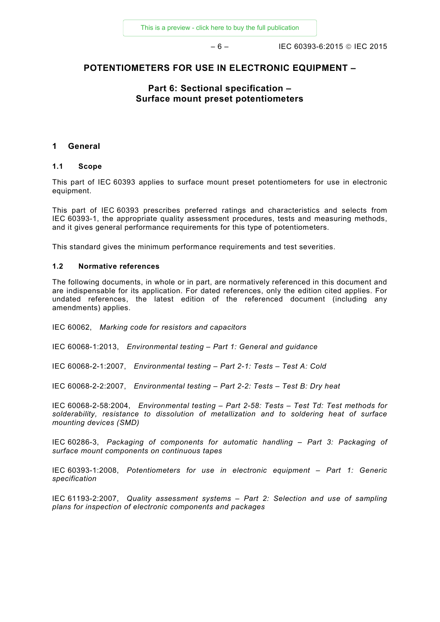– 6 – IEC 60393-6:2015 IEC 2015

#### **POTENTIOMETERS FOR USE IN ELECTRONIC EQUIPMENT –**

#### **Part 6: Sectional specification – Surface mount preset potentiometers**

#### <span id="page-5-0"></span>**1 General**

#### <span id="page-5-1"></span>**1.1 Scope**

This part of IEC 60393 applies to surface mount preset potentiometers for use in electronic equipment.

This part of IEC 60393 prescribes preferred ratings and characteristics and selects from IEC 60393-1, the appropriate quality assessment procedures, tests and measuring methods, and it gives general performance requirements for this type of potentiometers.

This standard gives the minimum performance requirements and test severities.

#### <span id="page-5-2"></span>**1.2 Normative references**

The following documents, in whole or in part, are normatively referenced in this document and are indispensable for its application. For dated references, only the edition cited applies. For undated references, the latest edition of the referenced document (including any amendments) applies.

IEC 60062, *Marking code for resistors and capacitors*

IEC 60068-1:2013, *Environmental testing – Part 1: General and guidance*

IEC 60068-2-1:2007, *Environmental testing – Part 2-1: Tests – Test A: Cold*

IEC 60068-2-2:2007, *Environmental testing – Part 2-2: Tests – Test B: Dry heat*

IEC 60068-2-58:2004, *Environmental testing – Part 2-58: Tests – Test Td: Test methods for solderability, resistance to dissolution of metallization and to soldering heat of surface mounting devices (SMD)*

IEC 60286-3, *Packaging of components for automatic handling – Part 3: Packaging of surface mount components on continuous tapes*

IEC 60393-1:2008, *Potentiometers for use in electronic equipment – Part 1: Generic specification*

<span id="page-5-4"></span><span id="page-5-3"></span>IEC 61193-2:2007, *Quality assessment systems – Part 2: Selection and use of sampling plans for inspection of electronic components and packages*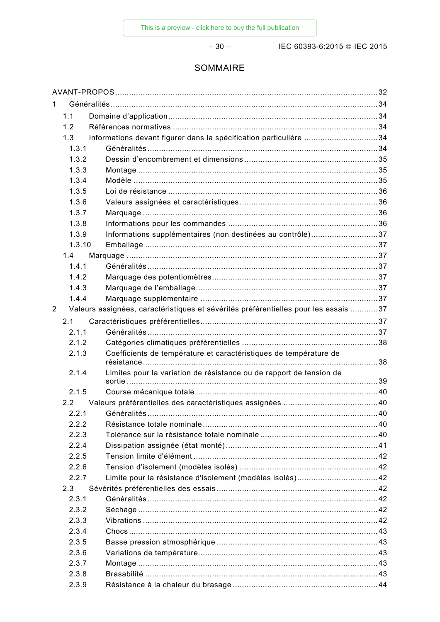$-30-$ 

IEC 60393-6:2015 © IEC 2015

#### SOMMAIRE

| 1.             |                                                                                     |  |
|----------------|-------------------------------------------------------------------------------------|--|
| 1.1            |                                                                                     |  |
| 1.2            |                                                                                     |  |
| 1.3            | Informations devant figurer dans la spécification particulière 34                   |  |
| 1.3.1          |                                                                                     |  |
| 1.3.2          |                                                                                     |  |
| 1.3.3          |                                                                                     |  |
| 1.3.4          |                                                                                     |  |
| 1.3.5          |                                                                                     |  |
| 1.3.6          |                                                                                     |  |
| 1.3.7          |                                                                                     |  |
| 1.3.8          |                                                                                     |  |
| 1.3.9          | Informations supplémentaires (non destinées au contrôle)37                          |  |
| 1.3.10         |                                                                                     |  |
| 1.4            |                                                                                     |  |
| 1.4.1          |                                                                                     |  |
| 1.4.2          |                                                                                     |  |
| 1.4.3          |                                                                                     |  |
| 1.4.4          |                                                                                     |  |
| $\overline{2}$ | Valeurs assignées, caractéristiques et sévérités préférentielles pour les essais 37 |  |
| 2.1            |                                                                                     |  |
| 2.1.1          |                                                                                     |  |
| 2.1.2          |                                                                                     |  |
| 2.1.3          | Coefficients de température et caractéristiques de température de                   |  |
| 2.1.4          | Limites pour la variation de résistance ou de rapport de tension de                 |  |
|                |                                                                                     |  |
| 2.1.5          |                                                                                     |  |
| 2.2            |                                                                                     |  |
| 2.2.1          |                                                                                     |  |
| 2.2.2          |                                                                                     |  |
| 2.2.3          |                                                                                     |  |
| 2.2.4          |                                                                                     |  |
| 2.2.5          |                                                                                     |  |
| 2.2.6          |                                                                                     |  |
| 2.2.7          |                                                                                     |  |
| 2.3            |                                                                                     |  |
| 2.3.1          |                                                                                     |  |
| 2.3.2          |                                                                                     |  |
| 2.3.3          |                                                                                     |  |
| 2.3.4          |                                                                                     |  |
| 2.3.5          |                                                                                     |  |
| 2.3.6          |                                                                                     |  |
| 2.3.7          |                                                                                     |  |
| 2.3.8          |                                                                                     |  |
| 2.3.9          |                                                                                     |  |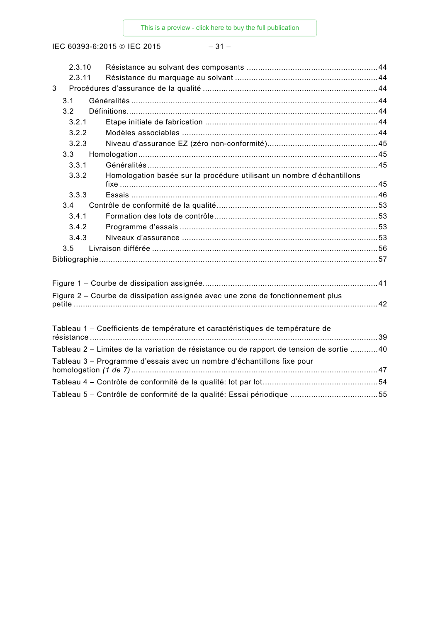IEC 60393-6:2015 © IEC 2015 – 31 –

|  | ۰.<br>× |  |
|--|---------|--|
|--|---------|--|

|   | 2.3.10 |                                                                                         |  |
|---|--------|-----------------------------------------------------------------------------------------|--|
|   | 2.3.11 |                                                                                         |  |
| 3 |        |                                                                                         |  |
|   | 3.1    |                                                                                         |  |
|   | 3.2    |                                                                                         |  |
|   | 3.2.1  |                                                                                         |  |
|   | 3.2.2  |                                                                                         |  |
|   | 3.2.3  |                                                                                         |  |
|   | 3.3    |                                                                                         |  |
|   | 3.3.1  |                                                                                         |  |
|   | 3.3.2  | Homologation basée sur la procédure utilisant un nombre d'échantillons                  |  |
|   | 3.3.3  |                                                                                         |  |
|   | 3.4    |                                                                                         |  |
|   | 3.4.1  |                                                                                         |  |
|   | 3.4.2  |                                                                                         |  |
|   | 3.4.3  |                                                                                         |  |
|   | 3.5    |                                                                                         |  |
|   |        |                                                                                         |  |
|   |        |                                                                                         |  |
|   |        |                                                                                         |  |
|   |        | Figure 2 – Courbe de dissipation assignée avec une zone de fonctionnement plus          |  |
|   |        | Tableau 1 – Coefficients de température et caractéristiques de température de           |  |
|   |        |                                                                                         |  |
|   |        | Tableau 2 – Limites de la variation de résistance ou de rapport de tension de sortie 40 |  |
|   |        | Tableau 3 – Programme d'essais avec un nombre d'échantillons fixe pour                  |  |
|   |        |                                                                                         |  |
|   |        | Tableau 5 – Contrôle de conformité de la qualité: Essai périodique 55                   |  |
|   |        |                                                                                         |  |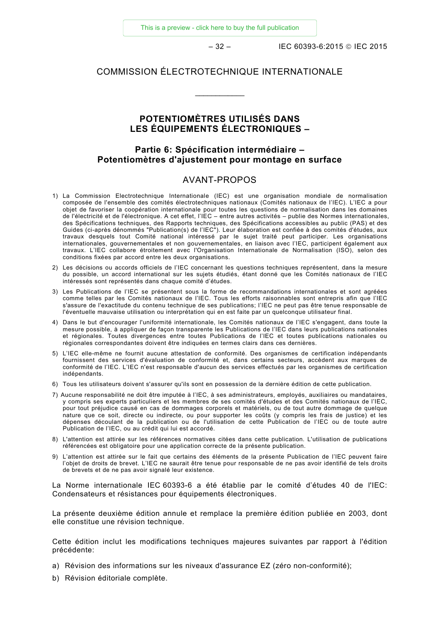[This is a preview - click here to buy the full publication](https://webstore.iec.ch/publication/23932&preview=1)

– 32 – IEC 60393-6:2015 IEC 2015

#### COMMISSION ÉLECTROTECHNIQUE INTERNATIONALE

 $\overline{\phantom{a}}$ 

#### **POTENTIOMÈTRES UTILISÉS DANS LES ÉQUIPEMENTS ÉLECTRONIQUES –**

#### **Partie 6: Spécification intermédiaire – Potentiomètres d'ajustement pour montage en surface**

#### AVANT-PROPOS

- <span id="page-8-0"></span>1) La Commission Electrotechnique Internationale (IEC) est une organisation mondiale de normalisation composée de l'ensemble des comités électrotechniques nationaux (Comités nationaux de l'IEC). L'IEC a pour objet de favoriser la coopération internationale pour toutes les questions de normalisation dans les domaines de l'électricité et de l'électronique. A cet effet, l'IEC – entre autres activités – publie des Normes internationales, des Spécifications techniques, des Rapports techniques, des Spécifications accessibles au public (PAS) et des Guides (ci-après dénommés "Publication(s) de l'IEC"). Leur élaboration est confiée à des comités d'études, aux travaux desquels tout Comité national intéressé par le sujet traité peut participer. Les organisations internationales, gouvernementales et non gouvernementales, en liaison avec l'IEC, participent également aux travaux. L'IEC collabore étroitement avec l'Organisation Internationale de Normalisation (ISO), selon des conditions fixées par accord entre les deux organisations.
- 2) Les décisions ou accords officiels de l'IEC concernant les questions techniques représentent, dans la mesure du possible, un accord international sur les sujets étudiés, étant donné que les Comités nationaux de l'IEC intéressés sont représentés dans chaque comité d'études.
- 3) Les Publications de l'IEC se présentent sous la forme de recommandations internationales et sont agréées comme telles par les Comités nationaux de l'IEC. Tous les efforts raisonnables sont entrepris afin que l'IEC s'assure de l'exactitude du contenu technique de ses publications; l'IEC ne peut pas être tenue responsable de l'éventuelle mauvaise utilisation ou interprétation qui en est faite par un quelconque utilisateur final.
- 4) Dans le but d'encourager l'uniformité internationale, les Comités nationaux de l'IEC s'engagent, dans toute la mesure possible, à appliquer de façon transparente les Publications de l'IEC dans leurs publications nationales et régionales. Toutes divergences entre toutes Publications de l'IEC et toutes publications nationales ou régionales correspondantes doivent être indiquées en termes clairs dans ces dernières.
- 5) L'IEC elle-même ne fournit aucune attestation de conformité. Des organismes de certification indépendants fournissent des services d'évaluation de conformité et, dans certains secteurs, accèdent aux marques de conformité de l'IEC. L'IEC n'est responsable d'aucun des services effectués par les organismes de certification indépendants.
- 6) Tous les utilisateurs doivent s'assurer qu'ils sont en possession de la dernière édition de cette publication.
- 7) Aucune responsabilité ne doit être imputée à l'IEC, à ses administrateurs, employés, auxiliaires ou mandataires, y compris ses experts particuliers et les membres de ses comités d'études et des Comités nationaux de l'IEC, pour tout préjudice causé en cas de dommages corporels et matériels, ou de tout autre dommage de quelque nature que ce soit, directe ou indirecte, ou pour supporter les coûts (y compris les frais de justice) et les dépenses découlant de la publication ou de l'utilisation de cette Publication de l'IEC ou de toute autre Publication de l'IEC, ou au crédit qui lui est accordé.
- 8) L'attention est attirée sur les références normatives citées dans cette publication. L'utilisation de publications référencées est obligatoire pour une application correcte de la présente publication.
- 9) L'attention est attirée sur le fait que certains des éléments de la présente Publication de l'IEC peuvent faire l'objet de droits de brevet. L'IEC ne saurait être tenue pour responsable de ne pas avoir identifié de tels droits de brevets et de ne pas avoir signalé leur existence.

La Norme internationale IEC 60393-6 a été établie par le comité d'études 40 de l'IEC: Condensateurs et résistances pour équipements électroniques.

La présente deuxième édition annule et remplace la première édition publiée en 2003, dont elle constitue une révision technique.

Cette édition inclut les modifications techniques majeures suivantes par rapport à l'édition précédente:

- a) Révision des informations sur les niveaux d'assurance EZ (zéro non-conformité);
- b) Révision éditoriale complète.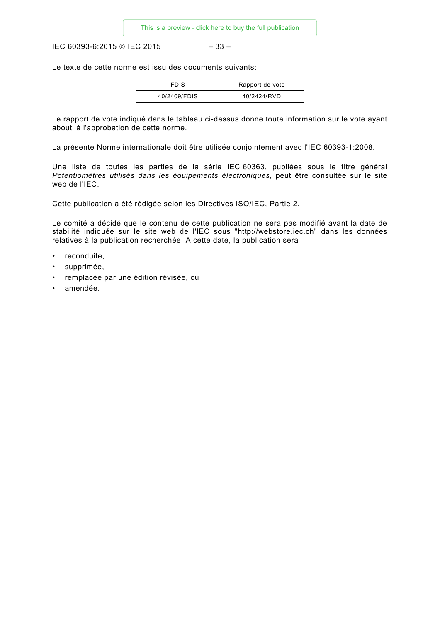IEC 60393-6:2015 © IEC 2015 – 33 –

Le texte de cette norme est issu des documents suivants:

| <b>FDIS</b>  | Rapport de vote |
|--------------|-----------------|
| 40/2409/FDIS | 40/2424/RVD     |

Le rapport de vote indiqué dans le tableau ci-dessus donne toute information sur le vote ayant abouti à l'approbation de cette norme.

La présente Norme internationale doit être utilisée conjointement avec l'IEC 60393-1:2008.

Une liste de toutes les parties de la série IEC 60363, publiées sous le titre général *Potentiomètres utilisés dans les équipements électroniques*, peut être consultée sur le site web de l'IEC.

Cette publication a été rédigée selon les Directives ISO/IEC, Partie 2.

Le comité a décidé que le contenu de cette publication ne sera pas modifié avant la date de stabilité indiquée sur le site web de l'IEC sous "http://webstore.iec.ch" dans les données relatives à la publication recherchée. A cette date, la publication sera

- reconduite,
- supprimée,
- remplacée par une édition révisée, ou
- amendée.